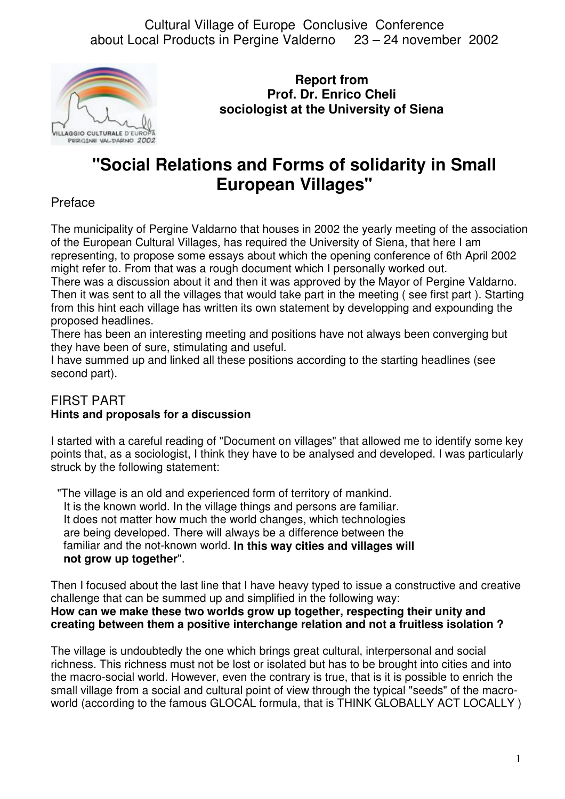

**Report from Prof. Dr. Enrico Cheli sociologist at the University of Siena**

# **"Social Relations and Forms of solidarity in Small European Villages"**

## Preface

The municipality of Pergine Valdarno that houses in 2002 the yearly meeting of the association of the European Cultural Villages, has required the University of Siena, that here I am representing, to propose some essays about which the opening conference of 6th April 2002 might refer to. From that was a rough document which I personally worked out.

There was a discussion about it and then it was approved by the Mayor of Pergine Valdarno. Then it was sent to all the villages that would take part in the meeting ( see first part ). Starting from this hint each village has written its own statement by developping and expounding the proposed headlines.

There has been an interesting meeting and positions have not always been converging but they have been of sure, stimulating and useful.

I have summed up and linked all these positions according to the starting headlines (see second part).

## FIRST PART **Hints and proposals for a discussion**

I started with a careful reading of "Document on villages" that allowed me to identify some key points that, as a sociologist, I think they have to be analysed and developed. I was particularly struck by the following statement:

 "The village is an old and experienced form of territory of mankind. It is the known world. In the village things and persons are familiar. It does not matter how much the world changes, which technologies are being developed. There will always be a difference between the familiar and the not-known world. **In this way cities and villages will not grow up together**".

Then I focused about the last line that I have heavy typed to issue a constructive and creative challenge that can be summed up and simplified in the following way: **How can we make these two worlds grow up together, respecting their unity and creating between them a positive interchange relation and not a fruitless isolation ?**

The village is undoubtedly the one which brings great cultural, interpersonal and social richness. This richness must not be lost or isolated but has to be brought into cities and into the macro-social world. However, even the contrary is true, that is it is possible to enrich the small village from a social and cultural point of view through the typical "seeds" of the macroworld (according to the famous GLOCAL formula, that is THINK GLOBALLY ACT LOCALLY)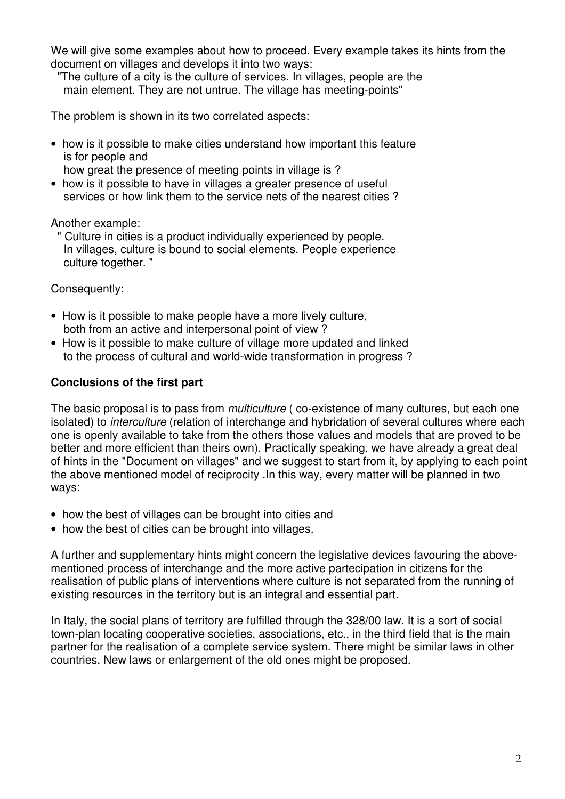We will give some examples about how to proceed. Every example takes its hints from the document on villages and develops it into two ways:

 "The culture of a city is the culture of services. In villages, people are the main element. They are not untrue. The village has meeting-points"

The problem is shown in its two correlated aspects:

• how is it possible to make cities understand how important this feature is for people and

how great the presence of meeting points in village is ?

• how is it possible to have in villages a greater presence of useful services or how link them to the service nets of the nearest cities ?

Another example:

 " Culture in cities is a product individually experienced by people. In villages, culture is bound to social elements. People experience culture together. "

Consequently:

- How is it possible to make people have a more lively culture, both from an active and interpersonal point of view ?
- How is it possible to make culture of village more updated and linked to the process of cultural and world-wide transformation in progress ?

## **Conclusions of the first part**

The basic proposal is to pass from *multiculture* ( co-existence of many cultures, but each one isolated) to *interculture* (relation of interchange and hybridation of several cultures where each one is openly available to take from the others those values and models that are proved to be better and more efficient than theirs own). Practically speaking, we have already a great deal of hints in the "Document on villages" and we suggest to start from it, by applying to each point the above mentioned model of reciprocity .In this way, every matter will be planned in two ways:

- how the best of villages can be brought into cities and
- how the best of cities can be brought into villages.

A further and supplementary hints might concern the legislative devices favouring the abovementioned process of interchange and the more active partecipation in citizens for the realisation of public plans of interventions where culture is not separated from the running of existing resources in the territory but is an integral and essential part.

In Italy, the social plans of territory are fulfilled through the 328/00 law. It is a sort of social town-plan locating cooperative societies, associations, etc., in the third field that is the main partner for the realisation of a complete service system. There might be similar laws in other countries. New laws or enlargement of the old ones might be proposed.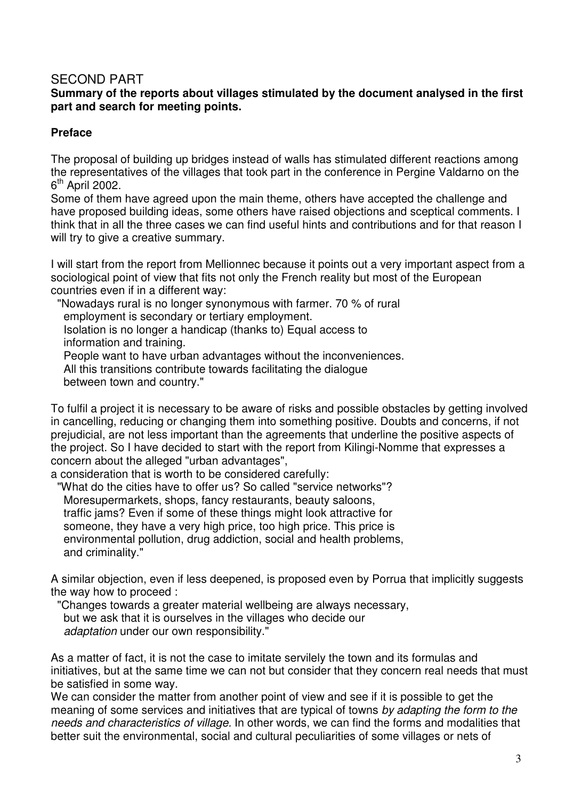## SECOND PART

#### **Summary of the reports about villages stimulated by the document analysed in the first part and search for meeting points.**

## **Preface**

The proposal of building up bridges instead of walls has stimulated different reactions among the representatives of the villages that took part in the conference in Pergine Valdarno on the 6<sup>th</sup> April 2002.

Some of them have agreed upon the main theme, others have accepted the challenge and have proposed building ideas, some others have raised objections and sceptical comments. I think that in all the three cases we can find useful hints and contributions and for that reason I will try to give a creative summary.

I will start from the report from Mellionnec because it points out a very important aspect from a sociological point of view that fits not only the French reality but most of the European countries even if in a different way:

 "Nowadays rural is no longer synonymous with farmer. 70 % of rural employment is secondary or tertiary employment. Isolation is no longer a handicap (thanks to) Equal access to information and training. People want to have urban advantages without the inconveniences. All this transitions contribute towards facilitating the dialogue between town and country."

To fulfil a project it is necessary to be aware of risks and possible obstacles by getting involved in cancelling, reducing or changing them into something positive. Doubts and concerns, if not prejudicial, are not less important than the agreements that underline the positive aspects of the project. So I have decided to start with the report from Kilingi-Nomme that expresses a concern about the alleged "urban advantages",

a consideration that is worth to be considered carefully:

 "What do the cities have to offer us? So called "service networks"? Moresupermarkets, shops, fancy restaurants, beauty saloons, traffic jams? Even if some of these things might look attractive for someone, they have a very high price, too high price. This price is environmental pollution, drug addiction, social and health problems, and criminality."

A similar objection, even if less deepened, is proposed even by Porrua that implicitly suggests the way how to proceed :

 "Changes towards a greater material wellbeing are always necessary, but we ask that it is ourselves in the villages who decide our  *adaptation* under our own responsibility."

As a matter of fact, it is not the case to imitate servilely the town and its formulas and initiatives, but at the same time we can not but consider that they concern real needs that must be satisfied in some way.

We can consider the matter from another point of view and see if it is possible to get the meaning of some services and initiatives that are typical of towns *by adapting the form to the needs and characteristics of village.* In other words, we can find the forms and modalities that better suit the environmental, social and cultural peculiarities of some villages or nets of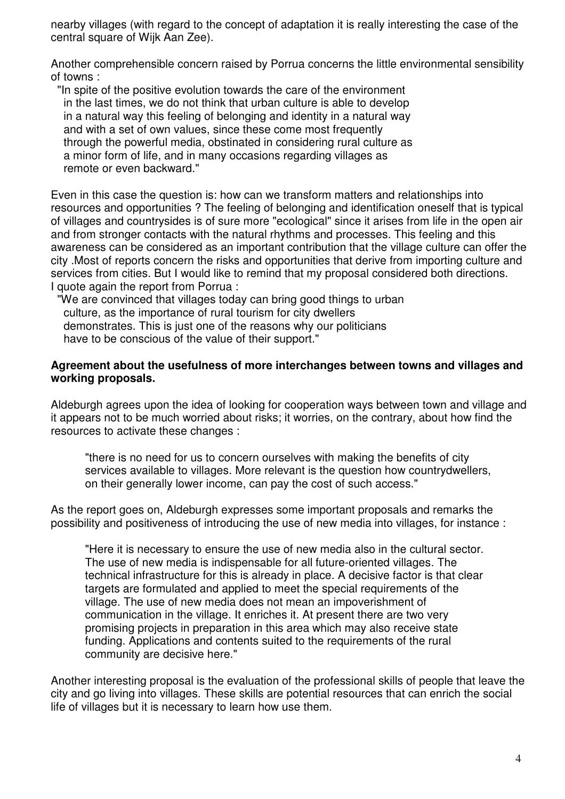nearby villages (with regard to the concept of adaptation it is really interesting the case of the central square of Wijk Aan Zee).

Another comprehensible concern raised by Porrua concerns the little environmental sensibility of towns :

 "In spite of the positive evolution towards the care of the environment in the last times, we do not think that urban culture is able to develop in a natural way this feeling of belonging and identity in a natural way and with a set of own values, since these come most frequently through the powerful media, obstinated in considering rural culture as a minor form of life, and in many occasions regarding villages as remote or even backward."

Even in this case the question is: how can we transform matters and relationships into resources and opportunities ? The feeling of belonging and identification oneself that is typical of villages and countrysides is of sure more "ecological" since it arises from life in the open air and from stronger contacts with the natural rhythms and processes. This feeling and this awareness can be considered as an important contribution that the village culture can offer the city .Most of reports concern the risks and opportunities that derive from importing culture and services from cities. But I would like to remind that my proposal considered both directions. I quote again the report from Porrua :

 "We are convinced that villages today can bring good things to urban culture, as the importance of rural tourism for city dwellers demonstrates. This is just one of the reasons why our politicians have to be conscious of the value of their support."

#### **Agreement about the usefulness of more interchanges between towns and villages and working proposals.**

Aldeburgh agrees upon the idea of looking for cooperation ways between town and village and it appears not to be much worried about risks; it worries, on the contrary, about how find the resources to activate these changes :

"there is no need for us to concern ourselves with making the benefits of city services available to villages. More relevant is the question how countrydwellers, on their generally lower income, can pay the cost of such access."

As the report goes on, Aldeburgh expresses some important proposals and remarks the possibility and positiveness of introducing the use of new media into villages, for instance :

"Here it is necessary to ensure the use of new media also in the cultural sector. The use of new media is indispensable for all future-oriented villages. The technical infrastructure for this is already in place. A decisive factor is that clear targets are formulated and applied to meet the special requirements of the village. The use of new media does not mean an impoverishment of communication in the village. It enriches it. At present there are two very promising projects in preparation in this area which may also receive state funding. Applications and contents suited to the requirements of the rural community are decisive here."

Another interesting proposal is the evaluation of the professional skills of people that leave the city and go living into villages. These skills are potential resources that can enrich the social life of villages but it is necessary to learn how use them.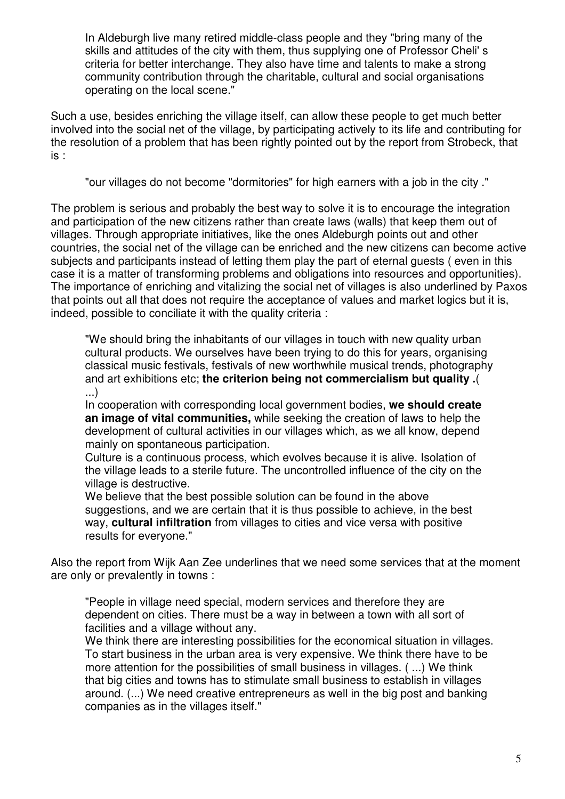In Aldeburgh live many retired middle-class people and they "bring many of the skills and attitudes of the city with them, thus supplying one of Professor Cheli' s criteria for better interchange. They also have time and talents to make a strong community contribution through the charitable, cultural and social organisations operating on the local scene."

Such a use, besides enriching the village itself, can allow these people to get much better involved into the social net of the village, by participating actively to its life and contributing for the resolution of a problem that has been rightly pointed out by the report from Strobeck, that is :

"our villages do not become "dormitories" for high earners with a job in the city ."

The problem is serious and probably the best way to solve it is to encourage the integration and participation of the new citizens rather than create laws (walls) that keep them out of villages. Through appropriate initiatives, like the ones Aldeburgh points out and other countries, the social net of the village can be enriched and the new citizens can become active subjects and participants instead of letting them play the part of eternal guests ( even in this case it is a matter of transforming problems and obligations into resources and opportunities). The importance of enriching and vitalizing the social net of villages is also underlined by Paxos that points out all that does not require the acceptance of values and market logics but it is, indeed, possible to conciliate it with the quality criteria :

"We should bring the inhabitants of our villages in touch with new quality urban cultural products. We ourselves have been trying to do this for years, organising classical music festivals, festivals of new worthwhile musical trends, photography and art exhibitions etc; **the criterion being not commercialism but quality .**( ...)

In cooperation with corresponding local government bodies, **we should create an image of vital communities,** while seeking the creation of laws to help the development of cultural activities in our villages which, as we all know, depend mainly on spontaneous participation.

Culture is a continuous process, which evolves because it is alive. Isolation of the village leads to a sterile future. The uncontrolled influence of the city on the village is destructive.

We believe that the best possible solution can be found in the above suggestions, and we are certain that it is thus possible to achieve, in the best way, **cultural infiltration** from villages to cities and vice versa with positive results for everyone."

Also the report from Wijk Aan Zee underlines that we need some services that at the moment are only or prevalently in towns :

"People in village need special, modern services and therefore they are dependent on cities. There must be a way in between a town with all sort of facilities and a village without any.

We think there are interesting possibilities for the economical situation in villages. To start business in the urban area is very expensive. We think there have to be more attention for the possibilities of small business in villages. ( ...) We think that big cities and towns has to stimulate small business to establish in villages around. (...) We need creative entrepreneurs as well in the big post and banking companies as in the villages itself."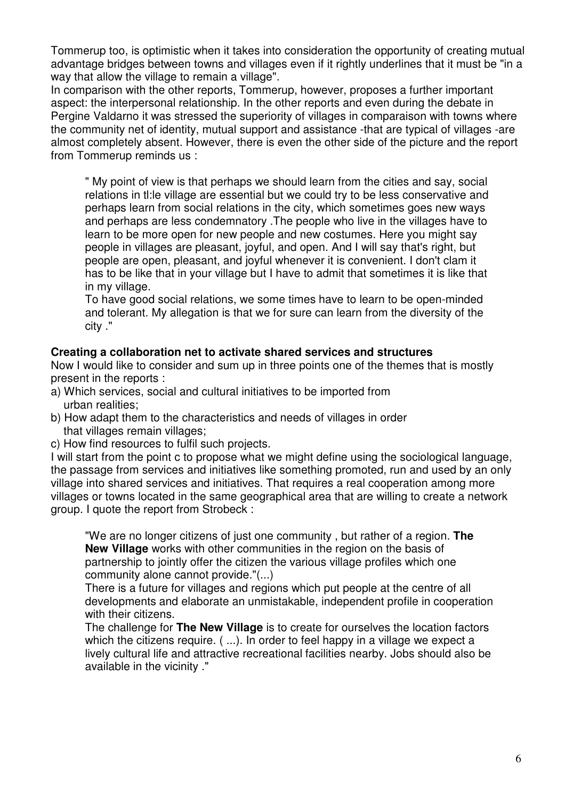Tommerup too, is optimistic when it takes into consideration the opportunity of creating mutual advantage bridges between towns and villages even if it rightly underlines that it must be "in a way that allow the village to remain a village".

In comparison with the other reports, Tommerup, however, proposes a further important aspect: the interpersonal relationship. In the other reports and even during the debate in Pergine Valdarno it was stressed the superiority of villages in comparaison with towns where the community net of identity, mutual support and assistance -that are typical of villages -are almost completely absent. However, there is even the other side of the picture and the report from Tommerup reminds us :

" My point of view is that perhaps we should learn from the cities and say, social relations in tl:le village are essential but we could try to be less conservative and perhaps learn from social relations in the city, which sometimes goes new ways and perhaps are less condemnatory .The people who live in the villages have to learn to be more open for new people and new costumes. Here you might say people in villages are pleasant, joyful, and open. And I will say that's right, but people are open, pleasant, and joyful whenever it is convenient. I don't clam it has to be like that in your village but I have to admit that sometimes it is like that in my village.

To have good social relations, we some times have to learn to be open-minded and tolerant. My allegation is that we for sure can learn from the diversity of the city ."

#### **Creating a collaboration net to activate shared services and structures**

Now I would like to consider and sum up in three points one of the themes that is mostly present in the reports :

- a) Which services, social and cultural initiatives to be imported from urban realities;
- b) How adapt them to the characteristics and needs of villages in order that villages remain villages;
- c) How find resources to fulfil such projects.

I will start from the point c to propose what we might define using the sociological language, the passage from services and initiatives like something promoted, run and used by an only village into shared services and initiatives. That requires a real cooperation among more villages or towns located in the same geographical area that are willing to create a network group. I quote the report from Strobeck :

"We are no longer citizens of just one community , but rather of a region. **The New Village** works with other communities in the region on the basis of partnership to jointly offer the citizen the various village profiles which one community alone cannot provide."(...)

There is a future for villages and regions which put people at the centre of all developments and elaborate an unmistakable, independent profile in cooperation with their citizens.

The challenge for **The New Village** is to create for ourselves the location factors which the citizens require. ( ...). In order to feel happy in a village we expect a lively cultural life and attractive recreational facilities nearby. Jobs should also be available in the vicinity ."